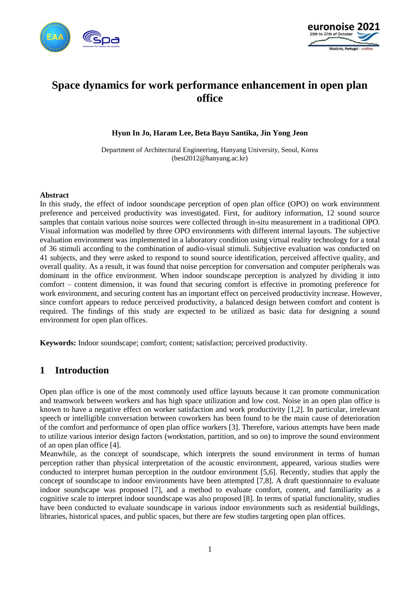



# **Space dynamics for work performance enhancement in open plan office**

#### **Hyun In Jo, Haram Lee, Beta Bayu Santika, Jin Yong Jeon**

Department of Architectural Engineering, Hanyang University, Seoul, Korea (best2012@hanyang.ac.kr)

#### **Abstract**

In this study, the effect of indoor soundscape perception of open plan office (OPO) on work environment preference and perceived productivity was investigated. First, for auditory information, 12 sound source samples that contain various noise sources were collected through in-situ measurement in a traditional OPO. Visual information was modelled by three OPO environments with different internal layouts. The subjective evaluation environment was implemented in a laboratory condition using virtual reality technology for a total of 36 stimuli according to the combination of audio-visual stimuli. Subjective evaluation was conducted on 41 subjects, and they were asked to respond to sound source identification, perceived affective quality, and overall quality. As a result, it was found that noise perception for conversation and computer peripherals was dominant in the office environment. When indoor soundscape perception is analyzed by dividing it into comfort – content dimension, it was found that securing comfort is effective in promoting preference for work environment, and securing content has an important effect on perceived productivity increase. However, since comfort appears to reduce perceived productivity, a balanced design between comfort and content is required. The findings of this study are expected to be utilized as basic data for designing a sound environment for open plan offices.

**Keywords:** Indoor soundscape; comfort; content; satisfaction; perceived productivity.

### **1 Introduction**

Open plan office is one of the most commonly used office layouts because it can promote communication and teamwork between workers and has high space utilization and low cost. Noise in an open plan office is known to have a negative effect on worker satisfaction and work productivity [1,2]. In particular, irrelevant speech or intelligible conversation between coworkers has been found to be the main cause of deterioration of the comfort and performance of open plan office workers [3]. Therefore, various attempts have been made to utilize various interior design factors (workstation, partition, and so on) to improve the sound environment of an open plan office [4].

Meanwhile, as the concept of soundscape, which interprets the sound environment in terms of human perception rather than physical interpretation of the acoustic environment, appeared, various studies were conducted to interpret human perception in the outdoor environment [5,6]. Recently, studies that apply the concept of soundscape to indoor environments have been attempted [7,8]. A draft questionnaire to evaluate indoor soundscape was proposed [7], and a method to evaluate comfort, content, and familiarity as a cognitive scale to interpret indoor soundscape was also proposed [8]. In terms of spatial functionality, studies have been conducted to evaluate soundscape in various indoor environments such as residential buildings, libraries, historical spaces, and public spaces, but there are few studies targeting open plan offices.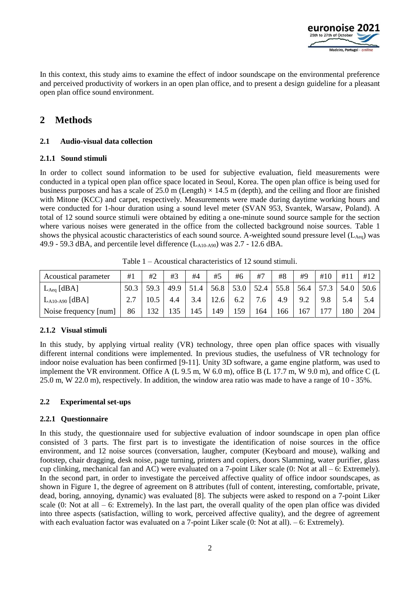

In this context, this study aims to examine the effect of indoor soundscape on the environmental preference and perceived productivity of workers in an open plan office, and to present a design guideline for a pleasant open plan office sound environment.

# **2 Methods**

#### **2.1 Audio-visual data collection**

#### **2.1.1 Sound stimuli**

In order to collect sound information to be used for subjective evaluation, field measurements were conducted in a typical open plan office space located in Seoul, Korea. The open plan office is being used for business purposes and has a scale of  $25.0$  m (Length)  $\times$  14.5 m (depth), and the ceiling and floor are finished with Mitone (KCC) and carpet, respectively. Measurements were made during daytime working hours and were conducted for 1-hour duration using a sound level meter (SVAN 953, Svantek, Warsaw, Poland). A total of 12 sound source stimuli were obtained by editing a one-minute sound source sample for the section where various noises were generated in the office from the collected background noise sources. Table 1 shows the physical acoustic characteristics of each sound source. A-weighted sound pressure level  $(L_{Aeq})$  was 49.9 - 59.3 dBA, and percentile level difference  $(L<sub>A10-A90</sub>)$  was 2.7 - 12.6 dBA.

| Acoustical parameter       | #1   | #2   | #3   | #4              | #5   | #6   | #7   | #8   | #9   | #10  | #11  | #12  |
|----------------------------|------|------|------|-----------------|------|------|------|------|------|------|------|------|
| $L_{Aeq}$ [dBA]            | 50.3 | 59.3 | 49.9 | 51<br>$\cdot$ 4 | 56.8 | 53.0 | 52.4 | 55.8 | 56.4 | 57.3 | 54.0 | 50.6 |
| $L_{A10\text{-}A90}$ [dBA] |      |      |      | 3.4             | 12.6 | 6.2  | 7.6  | 4.9  | 9.2  | 9.8  | 5.4  |      |
| Noise frequency [num]      | 86   | 132  |      | 45ء             | 149  | 159  | 164  | 166  | 167  | 77   | 180  | 204  |

Table 1 – Acoustical characteristics of 12 sound stimuli.

#### **2.1.2 Visual stimuli**

In this study, by applying virtual reality (VR) technology, three open plan office spaces with visually different internal conditions were implemented. In previous studies, the usefulness of VR technology for indoor noise evaluation has been confirmed [9-11]. Unity 3D software, a game engine platform, was used to implement the VR environment. Office A (L 9.5 m, W 6.0 m), office B (L 17.7 m, W 9.0 m), and office C (L 25.0 m, W 22.0 m), respectively. In addition, the window area ratio was made to have a range of 10 - 35%.

#### **2.2 Experimental set-ups**

#### **2.2.1 Questionnaire**

In this study, the questionnaire used for subjective evaluation of indoor soundscape in open plan office consisted of 3 parts. The first part is to investigate the identification of noise sources in the office environment, and 12 noise sources (conversation, laugher, computer (Keyboard and mouse), walking and footstep, chair dragging, desk noise, page turning, printers and copiers, doors Slamming, water purifier, glass cup clinking, mechanical fan and AC) were evaluated on a 7-point Liker scale  $(0: Not at all - 6: Extremely)$ . In the second part, in order to investigate the perceived affective quality of office indoor soundscapes, as shown in Figure 1, the degree of agreement on 8 attributes (full of content, interesting, comfortable, private, dead, boring, annoying, dynamic) was evaluated [8]. The subjects were asked to respond on a 7-point Liker scale  $(0:$  Not at all  $-6:$  Extremely). In the last part, the overall quality of the open plan office was divided into three aspects (satisfaction, willing to work, perceived affective quality), and the degree of agreement with each evaluation factor was evaluated on a 7-point Liker scale (0: Not at all). – 6: Extremely).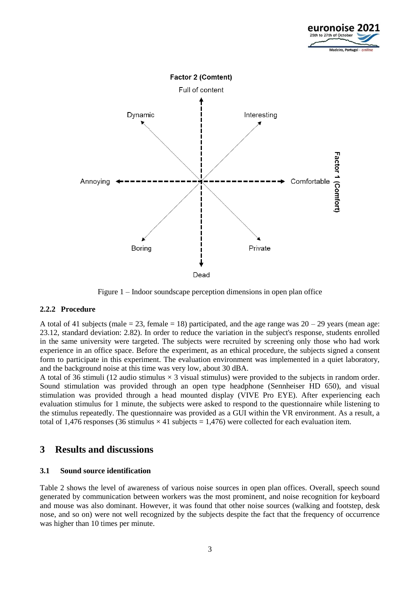



Figure 1 – Indoor soundscape perception dimensions in open plan office

#### **2.2.2 Procedure**

A total of 41 subjects (male  $= 23$ , female  $= 18$ ) participated, and the age range was  $20 - 29$  years (mean age: 23.12, standard deviation: 2.82). In order to reduce the variation in the subject's response, students enrolled in the same university were targeted. The subjects were recruited by screening only those who had work experience in an office space. Before the experiment, as an ethical procedure, the subjects signed a consent form to participate in this experiment. The evaluation environment was implemented in a quiet laboratory, and the background noise at this time was very low, about 30 dBA.

A total of 36 stimuli (12 audio stimulus  $\times$  3 visual stimulus) were provided to the subjects in random order. Sound stimulation was provided through an open type headphone (Sennheiser HD 650), and visual stimulation was provided through a head mounted display (VIVE Pro EYE). After experiencing each evaluation stimulus for 1 minute, the subjects were asked to respond to the questionnaire while listening to the stimulus repeatedly. The questionnaire was provided as a GUI within the VR environment. As a result, a total of 1,476 responses (36 stimulus  $\times$  41 subjects = 1,476) were collected for each evaluation item.

### **3 Results and discussions**

#### **3.1 Sound source identification**

Table 2 shows the level of awareness of various noise sources in open plan offices. Overall, speech sound generated by communication between workers was the most prominent, and noise recognition for keyboard and mouse was also dominant. However, it was found that other noise sources (walking and footstep, desk nose, and so on) were not well recognized by the subjects despite the fact that the frequency of occurrence was higher than 10 times per minute.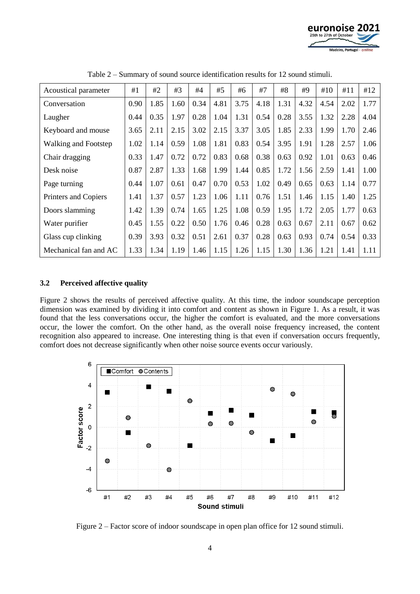

| Acoustical parameter        | #1   | #2   | #3   | #4   | #5   | #6   | #7   | #8   | #9   | #10  | #11  | #12  |
|-----------------------------|------|------|------|------|------|------|------|------|------|------|------|------|
| Conversation                | 0.90 | 1.85 | 1.60 | 0.34 | 4.81 | 3.75 | 4.18 | 1.31 | 4.32 | 4.54 | 2.02 | 1.77 |
| Laugher                     | 0.44 | 0.35 | 1.97 | 0.28 | 1.04 | 1.31 | 0.54 | 0.28 | 3.55 | 1.32 | 2.28 | 4.04 |
| Keyboard and mouse          | 3.65 | 2.11 | 2.15 | 3.02 | 2.15 | 3.37 | 3.05 | 1.85 | 2.33 | 1.99 | 1.70 | 2.46 |
| <b>Walking and Footstep</b> | 1.02 | 1.14 | 0.59 | 1.08 | 1.81 | 0.83 | 0.54 | 3.95 | 1.91 | 1.28 | 2.57 | 1.06 |
| Chair dragging              | 0.33 | 1.47 | 0.72 | 0.72 | 0.83 | 0.68 | 0.38 | 0.63 | 0.92 | 1.01 | 0.63 | 0.46 |
| Desk noise                  | 0.87 | 2.87 | 1.33 | 1.68 | 1.99 | 1.44 | 0.85 | 1.72 | 1.56 | 2.59 | 1.41 | 1.00 |
| Page turning                | 0.44 | 1.07 | 0.61 | 0.47 | 0.70 | 0.53 | 1.02 | 0.49 | 0.65 | 0.63 | 1.14 | 0.77 |
| Printers and Copiers        | 1.41 | 1.37 | 0.57 | 1.23 | 1.06 | 1.11 | 0.76 | 1.51 | 1.46 | 1.15 | 1.40 | 1.25 |
| Doors slamming              | 1.42 | 1.39 | 0.74 | 1.65 | 1.25 | 1.08 | 0.59 | 1.95 | 1.72 | 2.05 | 1.77 | 0.63 |
| Water purifier              | 0.45 | 1.55 | 0.22 | 0.50 | 1.76 | 0.46 | 0.28 | 0.63 | 0.67 | 2.11 | 0.67 | 0.62 |
| Glass cup clinking          | 0.39 | 3.93 | 0.32 | 0.51 | 2.61 | 0.37 | 0.28 | 0.63 | 0.93 | 0.74 | 0.54 | 0.33 |
| Mechanical fan and AC       | 1.33 | 1.34 | 1.19 | 1.46 | 1.15 | 1.26 | 1.15 | 1.30 | 1.36 | 1.21 | 1.41 | 1.11 |

Table 2 – Summary of sound source identification results for 12 sound stimuli.

#### **3.2 Perceived affective quality**

Figure 2 shows the results of perceived affective quality. At this time, the indoor soundscape perception dimension was examined by dividing it into comfort and content as shown in Figure 1. As a result, it was found that the less conversations occur, the higher the comfort is evaluated, and the more conversations occur, the lower the comfort. On the other hand, as the overall noise frequency increased, the content recognition also appeared to increase. One interesting thing is that even if conversation occurs frequently, comfort does not decrease significantly when other noise source events occur variously.



Figure 2 – Factor score of indoor soundscape in open plan office for 12 sound stimuli.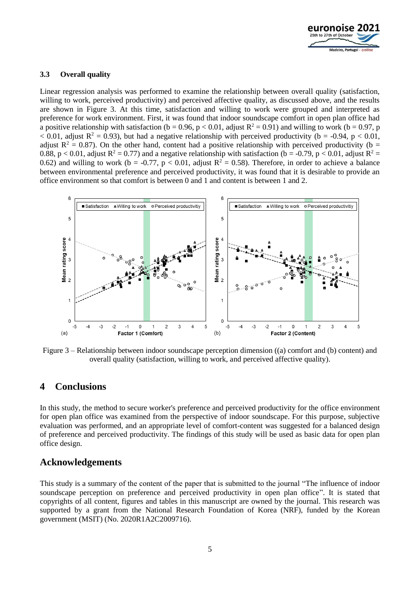

#### **3.3 Overall quality**

Linear regression analysis was performed to examine the relationship between overall quality (satisfaction, willing to work, perceived productivity) and perceived affective quality, as discussed above, and the results are shown in Figure 3. At this time, satisfaction and willing to work were grouped and interpreted as preference for work environment. First, it was found that indoor soundscape comfort in open plan office had a positive relationship with satisfaction (b = 0.96, p < 0.01, adjust  $R^2 = 0.91$ ) and willing to work (b = 0.97, p  $\epsilon$  0.01, adjust R<sup>2</sup> = 0.93), but had a negative relationship with perceived productivity (b = -0.94, p  $\epsilon$  0.01, adjust  $R^2 = 0.87$ ). On the other hand, content had a positive relationship with perceived productivity (b = 0.88, p < 0.01, adjust  $R^2 = 0.77$ ) and a negative relationship with satisfaction (b = -0.79, p < 0.01, adjust  $R^2 =$ 0.62) and willing to work (b = -0.77, p < 0.01, adjust  $R^2 = 0.58$ ). Therefore, in order to achieve a balance between environmental preference and perceived productivity, it was found that it is desirable to provide an office environment so that comfort is between 0 and 1 and content is between 1 and 2.



Figure 3 – Relationship between indoor soundscape perception dimension ((a) comfort and (b) content) and overall quality (satisfaction, willing to work, and perceived affective quality).

# **4 Conclusions**

In this study, the method to secure worker's preference and perceived productivity for the office environment for open plan office was examined from the perspective of indoor soundscape. For this purpose, subjective evaluation was performed, and an appropriate level of comfort-content was suggested for a balanced design of preference and perceived productivity. The findings of this study will be used as basic data for open plan office design.

# **Acknowledgements**

This study is a summary of the content of the paper that is submitted to the journal "The influence of indoor soundscape perception on preference and perceived productivity in open plan office". It is stated that copyrights of all content, figures and tables in this manuscript are owned by the journal. This research was supported by a grant from the National Research Foundation of Korea (NRF), funded by the Korean government (MSIT) (No. 2020R1A2C2009716).